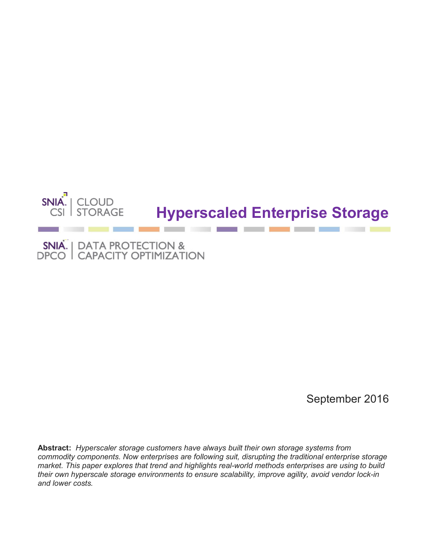

# **Hyperscaled Enterprise Storage**

a a  $\mathcal{N}$ 

SNIA. | DATA PROTECTION &<br>DPCO | CAPACITY OPTIMIZATION

September 2016

**Abstract:** *Hyperscaler storage customers have always built their own storage systems from commodity components. Now enterprises are following suit, disrupting the traditional enterprise storage market. This paper explores that trend and highlights real-world methods enterprises are using to build their own hyperscale storage environments to ensure scalability, improve agility, avoid vendor lock-in and lower costs.*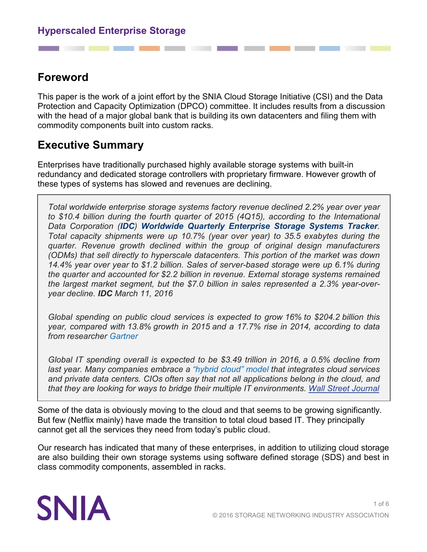# **Foreword**

This paper is the work of a joint effort by the SNIA Cloud Storage Initiative (CSI) and the Data Protection and Capacity Optimization (DPCO) committee. It includes results from a discussion with the head of a major global bank that is building its own datacenters and filing them with commodity components built into custom racks.

# **Executive Summary**

Enterprises have traditionally purchased highly available storage systems with built-in redundancy and dedicated storage controllers with proprietary firmware. However growth of these types of systems has slowed and revenues are declining.

*Total worldwide enterprise storage systems factory revenue declined 2.2% year over year to \$10.4 billion during the fourth quarter of 2015 (4Q15), according to the International Data Corporation ([IDC](http://www.idc.com/)) [Worldwide Quarterly Enterprise Storage Systems Tracker](http://www.idc.com/tracker/showproductinfo.jsp?prod_id=5). Total capacity shipments were up 10.7% (year over year) to 35.5 exabytes during the quarter. Revenue growth declined within the group of original design manufacturers (ODMs) that sell directly to hyperscale datacenters. This portion of the market was down 14.4% year over year to \$1.2 billion. Sales of server-based storage were up 6.1% during the quarter and accounted for \$2.2 billion in revenue. External storage systems remained the largest market segment, but the \$7.0 billion in sales represented a 2.3% year-overyear decline. IDC March 11, 2016*

*Global spending on public cloud services is expected to grow 16% to \$204.2 billion this year, compared with 13.8% growth in 2015 and a 17.7% rise in 2014, according to data from researcher [Gartner](http://quotes.wsj.com/IT)*

*Global IT spending overall is expected to be \$3.49 trillion in 2016, a 0.5% decline from last year. Many companies embrace a ["hybrid cloud" model](http://blogs.wsj.com/cio/2015/10/20/special-report-cios-say-hybrid-cloud-takes-off/) that integrates cloud services and private data centers. CIOs often say that not all applications belong in the cloud, and that they are looking for ways to bridge their multiple IT environments. [Wall Street Journal](http://blogs.wsj.com/cio/2016/04/15/cloud-computing-shift-accelerates-reversing-recent-dip/)*

Some of the data is obviously moving to the cloud and that seems to be growing significantly. But few (Netflix mainly) have made the transition to total cloud based IT. They principally cannot get all the services they need from today's public cloud.

Our research has indicated that many of these enterprises, in addition to utilizing cloud storage are also building their own storage systems using software defined storage (SDS) and best in class commodity components, assembled in racks.

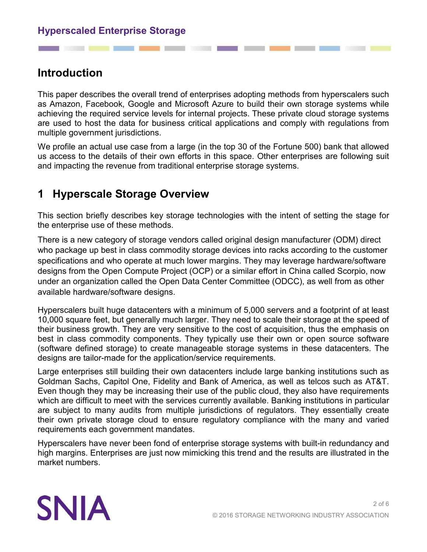# **Introduction**

This paper describes the overall trend of enterprises adopting methods from hyperscalers such as Amazon, Facebook, Google and Microsoft Azure to build their own storage systems while achieving the required service levels for internal projects. These private cloud storage systems are used to host the data for business critical applications and comply with regulations from multiple government jurisdictions.

We profile an actual use case from a large (in the top 30 of the Fortune 500) bank that allowed us access to the details of their own efforts in this space. Other enterprises are following suit and impacting the revenue from traditional enterprise storage systems.

# **1 Hyperscale Storage Overview**

This section briefly describes key storage technologies with the intent of setting the stage for the enterprise use of these methods.

There is a new category of storage vendors called original design manufacturer (ODM) direct who package up best in class commodity storage devices into racks according to the customer specifications and who operate at much lower margins. They may leverage hardware/software designs from the Open Compute Project (OCP) or a similar effort in China called Scorpio, now under an organization called the Open Data Center Committee (ODCC), as well from as other available hardware/software designs.

Hyperscalers built huge datacenters with a minimum of 5,000 servers and a footprint of at least 10,000 square feet, but generally much larger. They need to scale their storage at the speed of their business growth. They are very sensitive to the cost of acquisition, thus the emphasis on best in class commodity components. They typically use their own or open source software (software defined storage) to create manageable storage systems in these datacenters. The designs are tailor-made for the application/service requirements.

Large enterprises still building their own datacenters include large banking institutions such as Goldman Sachs, Capitol One, Fidelity and Bank of America, as well as telcos such as AT&T. Even though they may be increasing their use of the public cloud, they also have requirements which are difficult to meet with the services currently available. Banking institutions in particular are subject to many audits from multiple jurisdictions of regulators. They essentially create their own private storage cloud to ensure regulatory compliance with the many and varied requirements each government mandates.

Hyperscalers have never been fond of enterprise storage systems with built-in redundancy and high margins. Enterprises are just now mimicking this trend and the results are illustrated in the market numbers.

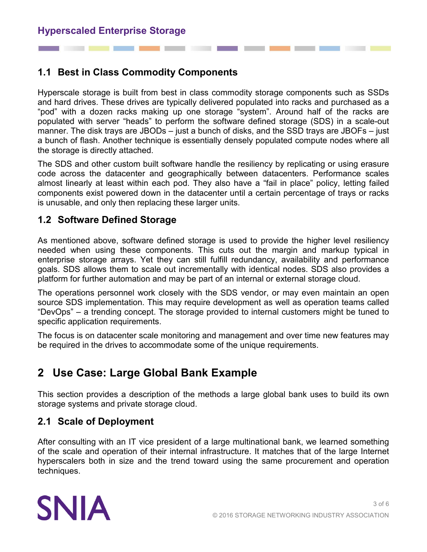## **1.1 Best in Class Commodity Components**

Hyperscale storage is built from best in class commodity storage components such as SSDs and hard drives. These drives are typically delivered populated into racks and purchased as a "pod" with a dozen racks making up one storage "system". Around half of the racks are populated with server "heads" to perform the software defined storage (SDS) in a scale-out manner. The disk trays are JBODs – just a bunch of disks, and the SSD trays are JBOFs – just a bunch of flash. Another technique is essentially densely populated compute nodes where all the storage is directly attached.

The SDS and other custom built software handle the resiliency by replicating or using erasure code across the datacenter and geographically between datacenters. Performance scales almost linearly at least within each pod. They also have a "fail in place" policy, letting failed components exist powered down in the datacenter until a certain percentage of trays or racks is unusable, and only then replacing these larger units.

#### **1.2 Software Defined Storage**

As mentioned above, software defined storage is used to provide the higher level resiliency needed when using these components. This cuts out the margin and markup typical in enterprise storage arrays. Yet they can still fulfill redundancy, availability and performance goals. SDS allows them to scale out incrementally with identical nodes. SDS also provides a platform for further automation and may be part of an internal or external storage cloud.

The operations personnel work closely with the SDS vendor, or may even maintain an open source SDS implementation. This may require development as well as operation teams called "DevOps" – a trending concept. The storage provided to internal customers might be tuned to specific application requirements.

The focus is on datacenter scale monitoring and management and over time new features may be required in the drives to accommodate some of the unique requirements.

# **2 Use Case: Large Global Bank Example**

This section provides a description of the methods a large global bank uses to build its own storage systems and private storage cloud.

#### **2.1 Scale of Deployment**

After consulting with an IT vice president of a large multinational bank, we learned something of the scale and operation of their internal infrastructure. It matches that of the large Internet hyperscalers both in size and the trend toward using the same procurement and operation techniques.

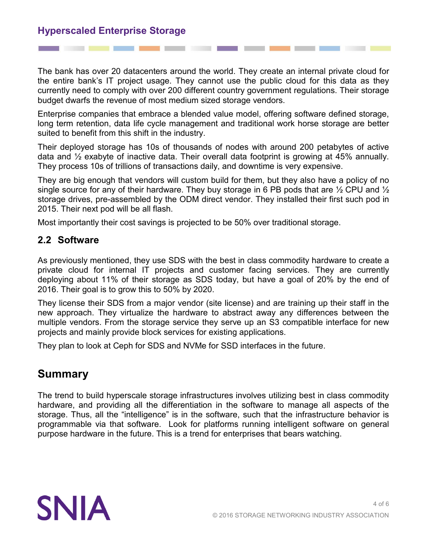## **Hyperscaled Enterprise Storage**

The bank has over 20 datacenters around the world. They create an internal private cloud for the entire bank's IT project usage. They cannot use the public cloud for this data as they currently need to comply with over 200 different country government regulations. Their storage budget dwarfs the revenue of most medium sized storage vendors.

Enterprise companies that embrace a blended value model, offering software defined storage, long term retention, data life cycle management and traditional work horse storage are better suited to benefit from this shift in the industry.

Their deployed storage has 10s of thousands of nodes with around 200 petabytes of active data and ½ exabyte of inactive data. Their overall data footprint is growing at 45% annually. They process 10s of trillions of transactions daily, and downtime is very expensive.

They are big enough that vendors will custom build for them, but they also have a policy of no single source for any of their hardware. They buy storage in 6 PB pods that are  $\frac{1}{2}$  CPU and  $\frac{1}{2}$ storage drives, pre-assembled by the ODM direct vendor. They installed their first such pod in 2015. Their next pod will be all flash.

Most importantly their cost savings is projected to be 50% over traditional storage.

#### **2.2 Software**

As previously mentioned, they use SDS with the best in class commodity hardware to create a private cloud for internal IT projects and customer facing services. They are currently deploying about 11% of their storage as SDS today, but have a goal of 20% by the end of 2016. Their goal is to grow this to 50% by 2020.

They license their SDS from a major vendor (site license) and are training up their staff in the new approach. They virtualize the hardware to abstract away any differences between the multiple vendors. From the storage service they serve up an S3 compatible interface for new projects and mainly provide block services for existing applications.

They plan to look at Ceph for SDS and NVMe for SSD interfaces in the future.

# **Summary**

The trend to build hyperscale storage infrastructures involves utilizing best in class commodity hardware, and providing all the differentiation in the software to manage all aspects of the storage. Thus, all the "intelligence" is in the software, such that the infrastructure behavior is programmable via that software. Look for platforms running intelligent software on general purpose hardware in the future. This is a trend for enterprises that bears watching.